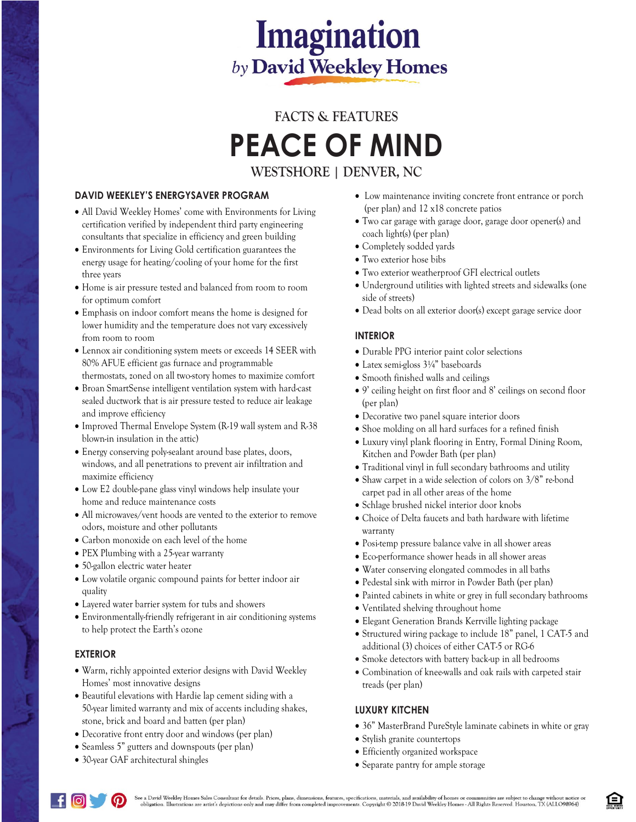# **Imagination** by David Weekley Homes

## **FACTS & FEATURES PEACE OF MIND WESTSHORE | DENVER, NC**

## **DAVID WEEKLEY'S ENERGYSAVER PROGRAM**

- All David Weekley Homes' come with Environments for Living certification verified by independent third party engineering consultants that specialize in efficiency and green building
- Environments for Living Gold certification guarantees the energy usage for heating/cooling of your home for the first three years
- Home is air pressure tested and balanced from room to room for optimum comfort
- Emphasis on indoor comfort means the home is designed for lower humidity and the temperature does not vary excessively from room to room
- Lennox air conditioning system meets or exceeds 14 SEER with 80% AFUE efficient gas furnace and programmable thermostats, zoned on all two-story homes to maximize comfort
- Broan SmartSense intelligent ventilation system with hard-cast sealed ductwork that is air pressure tested to reduce air leakage and improve efficiency
- Improved Thermal Envelope System (R-19 wall system and R-38 blown-in insulation in the attic)
- Energy conserving poly-sealant around base plates, doors, windows, and all penetrations to prevent air infiltration and maximize efficiency
- Low E2 double-pane glass vinyl windows help insulate your home and reduce maintenance costs
- All microwaves/vent hoods are vented to the exterior to remove odors, moisture and other pollutants
- Carbon monoxide on each level of the home
- PEX Plumbing with a 25-year warranty
- 50-gallon electric water heater
- Low volatile organic compound paints for better indoor air quality
- Layered water barrier system for tubs and showers
- Environmentally-friendly refrigerant in air conditioning systems to help protect the Earth's ozone

#### **EXTERIOR**

- Warm, richly appointed exterior designs with David Weekley Homes' most innovative designs
- Beautiful elevations with Hardie lap cement siding with a 50-year limited warranty and mix of accents including shakes, stone, brick and board and batten (per plan)
- Decorative front entry door and windows (per plan)
- Seamless 5" gutters and downspouts (per plan)
- 30-year GAF architectural shingles
- Low maintenance inviting concrete front entrance or porch (per plan) and 12 x18 concrete patios
- Two car garage with garage door, garage door opener(s) and coach light(s) (per plan)
- Completely sodded yards
- Two exterior hose bibs
- Two exterior weatherproof GFI electrical outlets
- Underground utilities with lighted streets and sidewalks (one side of streets)
- Dead bolts on all exterior door(s) except garage service door

### **INTERIOR**

- Durable PPG interior paint color selections
- Latex semi-gloss 3¼" baseboards
- Smooth finished walls and ceilings
- 9' ceiling height on first floor and 8' ceilings on second floor (per plan)
- Decorative two panel square interior doors
- Shoe molding on all hard surfaces for a refined finish
- Luxury vinyl plank flooring in Entry, Formal Dining Room, Kitchen and Powder Bath (per plan)
- Traditional vinyl in full secondary bathrooms and utility
- Shaw carpet in a wide selection of colors on 3/8" re-bond carpet pad in all other areas of the home
- Schlage brushed nickel interior door knobs
- Choice of Delta faucets and bath hardware with lifetime warranty
- Posi-temp pressure balance valve in all shower areas
- Eco-performance shower heads in all shower areas
- Water conserving elongated commodes in all baths
- Pedestal sink with mirror in Powder Bath (per plan)
- Painted cabinets in white or grey in full secondary bathrooms
- Ventilated shelving throughout home
- Elegant Generation Brands Kerrville lighting package
- Structured wiring package to include 18" panel, 1 CAT-5 and additional (3) choices of either CAT-5 or RG-6
- Smoke detectors with battery back-up in all bedrooms
- Combination of knee-walls and oak rails with carpeted stair treads (per plan)

## **LUXURY KITCHEN**

- 36" MasterBrand PureStyle laminate cabinets in white or gray
- Stylish granite countertops
- Efficiently organized workspace
- Separate pantry for ample storage